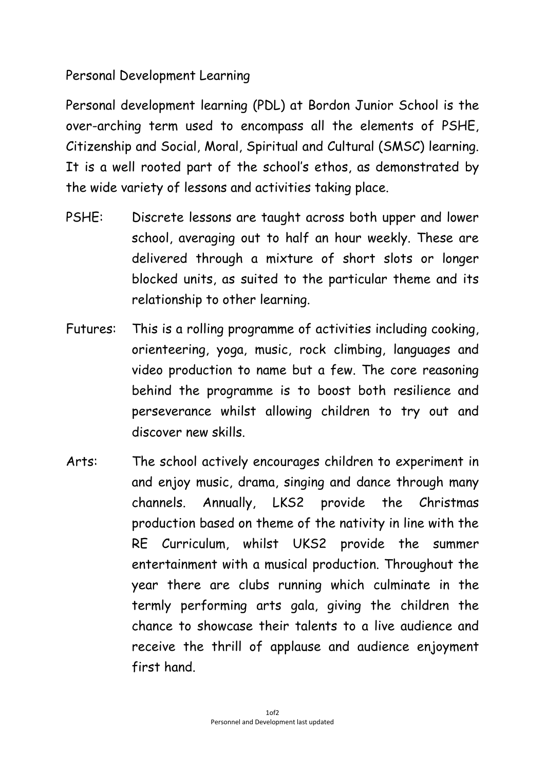## Personal Development Learning

Personal development learning (PDL) at Bordon Junior School is the over-arching term used to encompass all the elements of PSHE, Citizenship and Social, Moral, Spiritual and Cultural (SMSC) learning. It is a well rooted part of the school's ethos, as demonstrated by the wide variety of lessons and activities taking place.

- PSHE: Discrete lessons are taught across both upper and lower school, averaging out to half an hour weekly. These are delivered through a mixture of short slots or longer blocked units, as suited to the particular theme and its relationship to other learning.
- Futures: This is a rolling programme of activities including cooking, orienteering, yoga, music, rock climbing, languages and video production to name but a few. The core reasoning behind the programme is to boost both resilience and perseverance whilst allowing children to try out and discover new skills.
- Arts: The school actively encourages children to experiment in and enjoy music, drama, singing and dance through many channels. Annually, LKS2 provide the Christmas production based on theme of the nativity in line with the RE Curriculum, whilst UKS2 provide the summer entertainment with a musical production. Throughout the year there are clubs running which culminate in the termly performing arts gala, giving the children the chance to showcase their talents to a live audience and receive the thrill of applause and audience enjoyment first hand.